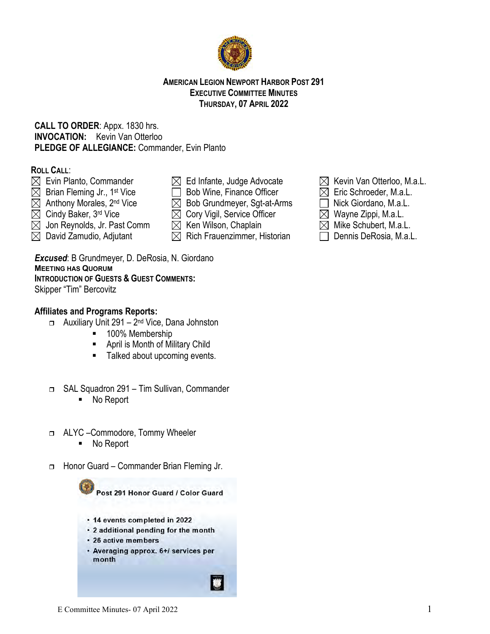### **AMERICAN LEGION NEWPORT HARBOR POST 291 EXECUTIVE COMMITTEE MINUTES THURSDAY, 07 APRIL 2022**

# **CALL TO ORDER**: Appx. 1830 hrs. **INVOCATION:** Kevin Van Otterloo **PLEDGE OF ALLEGIANCE:** Commander, Evin Planto

# **ROLL CALL**:

- 
- 
- 
- 
- $\boxtimes$  Jon Reynolds, Jr. Past Comm  $\boxtimes$  Ken Wilson, Chaplain  $\boxtimes$  Mike Schubert, M.a.L.
- $\boxtimes$  David Zamudio, Adjutant  $\boxtimes$  Rich Frauenzimmer, Historian  $\Box$  Dennis DeRosia, M.a.L.

# *Excused*: B Grundmeyer, D. DeRosia, N. Giordano **MEETING HAS QUORUM INTRODUCTION OF GUESTS & GUEST COMMENTS:**

Skipper "Tim" Bercovitz

# **Affiliates and Programs Reports:**

- $\Box$  Auxiliary Unit 291 2<sup>nd</sup> Vice, Dana Johnston
	- 100% Membership
	- **April is Month of Military Child**
	- Talked about upcoming events.
- SAL Squadron 291 Tim Sullivan, Commander ■ No Report
- ALYC –Commodore, Tommy Wheeler
	- No Report
- □ Honor Guard Commander Brian Fleming Jr.

Post 291 Honor Guard / Color Guard

- 14 events completed in 2022
- 2 additional pending for the month
- · 26 active members
- Averaging approx. 6+/ services per month
- $\boxtimes$  Evin Planto, Commander  $\boxtimes$  Ed Infante, Judge Advocate  $\boxtimes$  Kevin Van Otterloo, M.a.L.
- $\boxtimes$  Brian Fleming Jr., 1st Vice  $\Box$  Bob Wine, Finance Officer  $\boxtimes$  Eric Schroeder, M.a.L.
- $\boxtimes$  Anthony Morales, 2<sup>nd</sup> Vice  $\boxtimes$  Bob Grundmeyer, Sgt-at-Arms  $\Box$  Nick Giordano, M.a.L.
- $\boxtimes$  Cindy Baker, 3<sup>rd</sup> Vice  $\boxtimes$  Cory Vigil, Service Officer  $\boxtimes$  Wayne Zippi, M.a.L.
	-
	-



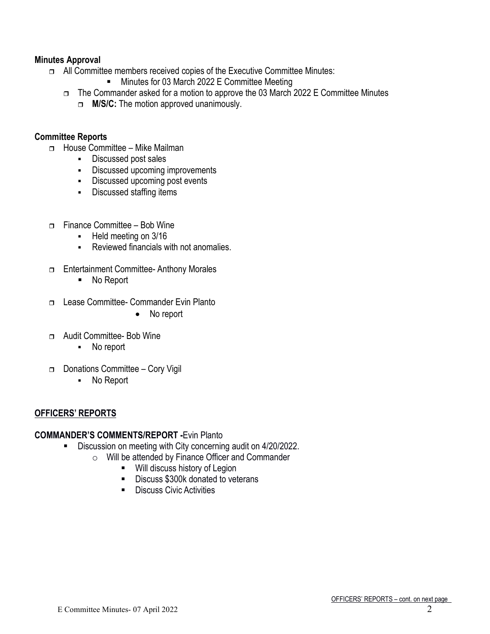# **Minutes Approval**

- □ All Committee members received copies of the Executive Committee Minutes:
	- **Minutes for 03 March 2022 E Committee Meeting**
	- $\Box$  The Commander asked for a motion to approve the 03 March 2022 E Committee Minutes
		- **M/S/C:** The motion approved unanimously.

## **Committee Reports**

- □ House Committee Mike Mailman
	- **-** Discussed post sales
	- **-** Discussed upcoming improvements
	- Discussed upcoming post events
	- **-** Discussed staffing items
- $\Box$  Finance Committee Bob Wine
	- **Held meeting on 3/16**
	- Reviewed financials with not anomalies.
- □ Entertainment Committee- Anthony Morales
	- No Report
- Lease Committee- Commander Evin Planto
	- No report
- Audit Committee- Bob Wine
	- No report
- □ Donations Committee Cory Vigil
	- No Report

# **OFFICERS' REPORTS**

# **COMMANDER'S COMMENTS/REPORT -**Evin Planto

- Discussion on meeting with City concerning audit on 4/20/2022.
	- $\circ$  Will be attended by Finance Officer and Commander<br>
	Will discuss history of Legion
		- Will discuss history of Legion
		- Discuss \$300k donated to veterans
		- **Discuss Civic Activities**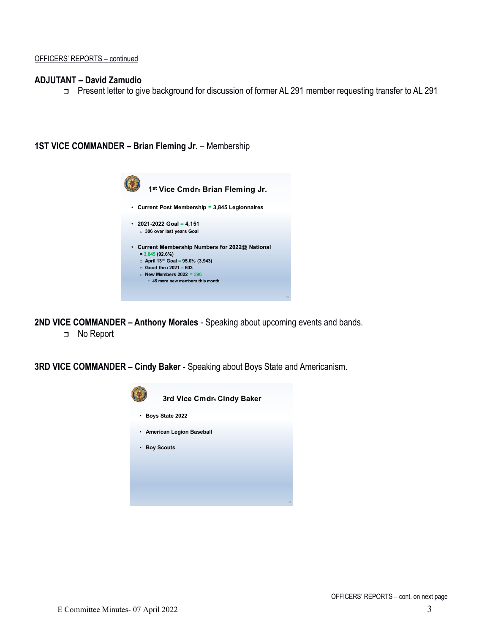#### **ADJUTANT – David Zamudio**

Present letter to give background for discussion of former AL 291 member requesting transfer to AL 291

**1ST VICE COMMANDER – Brian Fleming Jr.** – Membership

| 1st Vice Cmdr. Brian Fleming Jr.                                                                                                                                                                                           |
|----------------------------------------------------------------------------------------------------------------------------------------------------------------------------------------------------------------------------|
| • Current Post Membership = 3,845 Legionnaires                                                                                                                                                                             |
| • 2021-2022 Goal = 4,151<br>306 over last years Goal                                                                                                                                                                       |
| • Current Membership Numbers for 2022@ National<br>$= 3,845(92.6%)$<br>○ April 13 <sup>th</sup> Goal = 95.0% (3,943)<br>$\circ$ Good thru 2021 = 603<br>$\circ$ New Members 2022 = 396<br>• 45 more new members this month |

**2ND VICE COMMANDER – Anthony Morales** - Speaking about upcoming events and bands. No Report

**3RD VICE COMMANDER – Cindy Baker** - Speaking about Boys State and Americanism.

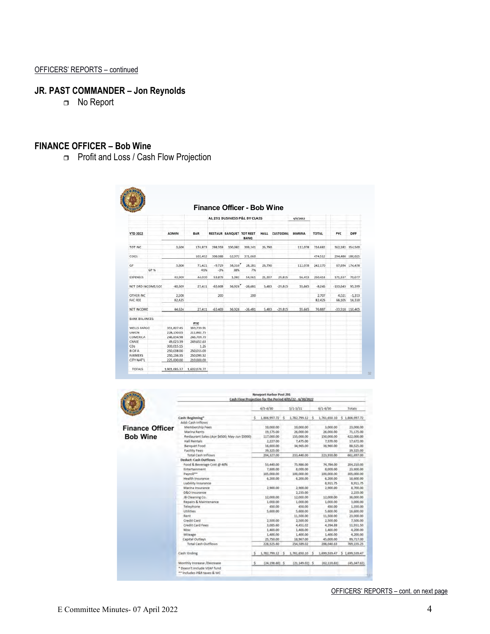# **JR. PAST COMMANDER – Jon Reynolds**

□ No Report

### **FINANCE OFFICER – Bob Wine**

**Profit and Loss / Cash Flow Projection** 

|                       |      |              |               |                   | Finance Officer - Bob Wine   |              |             |                  |               |              |                   |                |
|-----------------------|------|--------------|---------------|-------------------|------------------------------|--------------|-------------|------------------|---------------|--------------|-------------------|----------------|
|                       |      |              |               |                   | AL 291 BUSINESS P&L BY CLASS |              |             |                  | 4/6/2022      |              |                   |                |
| <b>YTD 2022</b>       |      | <b>ADMIN</b> | BAR           |                   | RESTAUR BANQUET TOT REST     | <b>BANO</b>  | <b>HALL</b> | <b>CUSTODIAL</b> | <b>MARINA</b> | <b>TOTAL</b> | <b>PYC</b>        | DIFF           |
| TOT INC               |      | 3,600        | 174,873       | 298,359           | 100.982                      | 399,341      | 26,790      |                  | 112,078       | 716.682      | 362,182 354,500   |                |
| COGS.                 |      |              | 103,452       | 308,088           | 62.972                       | 371.060      |             |                  |               | 474.512      | 294,488 180,025   |                |
| GP                    | GP % | 3,600        | 71,421<br>41% | $-9.729$<br>$-3%$ | 38,010<br>38%                | 28.281<br>7% | 26.790      |                  | 112,078       | 242,170      |                   | 67,694 174,476 |
| <b>EXPENSES</b>       |      | 43,909       | 44,010        | 53,879            | 1,082                        | 54,961       | 21,307      | 29,815           | 56,413        | 250,414      | 171,337           | 79,077         |
| NET ORD INCOME/LOS    |      | $-40.309$    | 27.411        | $-63,608$         | 36.928                       | $-26.681$    | 5.483       | $-29.815$        | 55.665        | $-8.245$     | $-103.643$        | 95.399         |
| OTHER INC.            |      | 2,508        |               | 200               |                              | 200          |             |                  |               | 2,707        | 4,021             | $-1.313$       |
| <b>FAC FEE</b>        |      | 82.425       |               |                   |                              |              |             |                  |               | 82.425       | 66.105            | 16,320         |
| NET INCOME            |      | 44.624       | 27,411        | $-63,409$         | 36.928                       | $-26.481$    | 5,483       | $-29.815$        | 55.665        | 76,887       | $-33,518$ 110,405 |                |
| <b>BANK BALANCES:</b> |      |              | PYC           |                   |                              |              |             |                  |               |              |                   |                |
| <b>WELLS FARGO</b>    |      | 351,807.45   | 183,739.91    |                   |                              |              |             |                  |               |              |                   |                |
| <b>UNION</b>          |      | 228,130.05   | 211,862.75    |                   |                              |              |             |                  |               |              |                   |                |
| COMERICA              |      | 246,834.98   | 246,709.70    |                   |                              |              |             |                  |               |              |                   |                |
| CHASE                 |      | 49.023.39    | 249.652.63    |                   |                              |              |             |                  |               |              |                   |                |
| CDs                   |      | 300.015.15   | 1.26          |                   |                              |              |             |                  |               |              |                   |                |
| <b>BOFA</b>           |      | 250,038.00   | 250,015.00    |                   |                              |              |             |                  |               |              |                   |                |
| <b>FARMERS</b>        |      | 250,236.35   | 250,093.52    |                   |                              |              |             |                  |               |              |                   |                |
| CITY NAT'L            |      | 225,000.00   | 210,000.00    |                   |                              |              |             |                  |               |              |                   |                |

|                        |                                               |    | <b>Newport Harbor Post 291</b> | Cash Flow Projection for the Period 4/05/22 - 6/30/2022 |          |              |                              |
|------------------------|-----------------------------------------------|----|--------------------------------|---------------------------------------------------------|----------|--------------|------------------------------|
|                        |                                               |    | $4/5 - 4/30$                   | $5/1 - 5/31$                                            |          | $6/1 - 6/30$ | Totals                       |
|                        | Cash: Beginning"                              | s. | 1,806,997.72 \$                | 1.782.799.12 S                                          |          |              | 1,761,650.10 \$ 1,806,997.72 |
|                        | <b>Add: Cash Inflows</b>                      |    |                                |                                                         |          |              |                              |
| <b>Finance Officer</b> | Membership Fees                               |    | 10,000.00                      | 10,000.00                                               |          | 3,000.00     | 23,000.00                    |
|                        | <b>Marina Rents</b>                           |    | 19,175.00                      | 26,000.00                                               |          | 26,000.00    | 71,175.00                    |
| <b>Bob Wine</b>        | Restaurant Sales (Apr \$4500; May-Jun \$5000) |    | 117,000.00                     | 155,000.00                                              |          | 150,000.00   | 422,000.00                   |
|                        | <b>Hall Rentals</b>                           |    | 2,227.00                       | 7,475.00                                                |          | 7,970.00     | 17,672.00                    |
|                        | <b>Banquet Food</b>                           |    | 16,600.00                      | 34,965.00                                               |          | 36,960.00    | 88,525.00                    |
|                        | <b>Facility Fees</b>                          |    | 39,325.00                      |                                                         |          |              | 39.325.00                    |
|                        | <b>Total Cash Inflows</b>                     |    | 204, 327.00                    | 233,440.00                                              |          | 223,930.00   | 661,697.00                   |
|                        | <b>Deduct: Cash Outflows</b>                  |    |                                |                                                         |          |              |                              |
|                        | Food & Beverage Cost @ 40%                    |    | 53,440.00                      | 75,986.00                                               |          | 74,784.00    | 204,210.00                   |
|                        | Entertainment                                 |    | 7,800.00                       | 8,000.00                                                |          | 8,000.00     | 23,800.00                    |
|                        | Pavroll**                                     |    | 105,000.00                     | 100,000.00                                              |          | 100,000.00   | 305,000.00                   |
|                        | Health Insurance                              |    | 6,200.00                       | 6,200.00                                                |          | 6,200.00     | 18,600.00                    |
|                        | Liability Insurance                           |    |                                |                                                         |          | 8,911.75     | 8,911.75                     |
|                        | Marina Insurance                              |    | 2,900.00                       | 2.900.00                                                |          | 2,900.00     | 8,700.00                     |
|                        | <b>D&amp;O</b> Insurance                      |    |                                | 2,235.00                                                |          |              | 2.235.00                     |
|                        | JB Cleaning Co.                               |    | 12,000.00                      | 12,000.00                                               |          | 12,000.00    | 36,000.00                    |
|                        | Repairs & Maintenance                         |    | 1,000.00                       | 1,000.00                                                |          | 1,000.00     | 3,000,00                     |
|                        | Telephone                                     |    | 450.00                         | 450.00                                                  |          | 450.00       | 1,350.00                     |
|                        | <b>Utilities</b>                              |    | 5,600.00                       | 5,600.00                                                |          | 5,600.00     | 16,800.00                    |
|                        | Rent                                          |    |                                | 11,500.00                                               |          | 11,500.00    | 23,000.00                    |
|                        | Credit Card                                   |    | 2,500.00                       | 2,500.00                                                |          | 2,500.00     | 7,500.00                     |
|                        | Credit Card Fees                              |    | 3,085.60                       | 4,451.02                                                |          | 4,394.88     | 11,931.50                    |
|                        | Misc                                          |    | 1,400.00                       | 1,400.00                                                |          | 1,400.00     | 4,200.00                     |
|                        | Mileage                                       |    | 1,400.00                       | 1,400.00                                                |          | 1,400.00     | 4,200.00                     |
|                        | Capital Outlays                               |    | 25,750.00                      | 18,967.00                                               |          | 45,000.00    | 89,717.00                    |
|                        | <b>Total Cash Outflows</b>                    |    | 228, 525.60                    | 254,589.02                                              |          | 286,040.63   | 769, 155.25                  |
|                        | Cash: Ending                                  | Ś. | 1,782,799.12 \$                | 1,761,650.10                                            | <b>S</b> |              | 1,699,539,47 \$ 1,699,539,47 |
|                        | Monthly Increase /Decrease                    | Ś. | $(24, 198.60)$ \$              | $(21, 149.02)$ \$                                       |          | (62, 110.63) | (45, 347, 62)                |
|                        | * Doesn't include VEAF fund                   |    |                                |                                                         |          |              |                              |
|                        | ** Includes P&R taxes & WC                    |    |                                |                                                         |          |              |                              |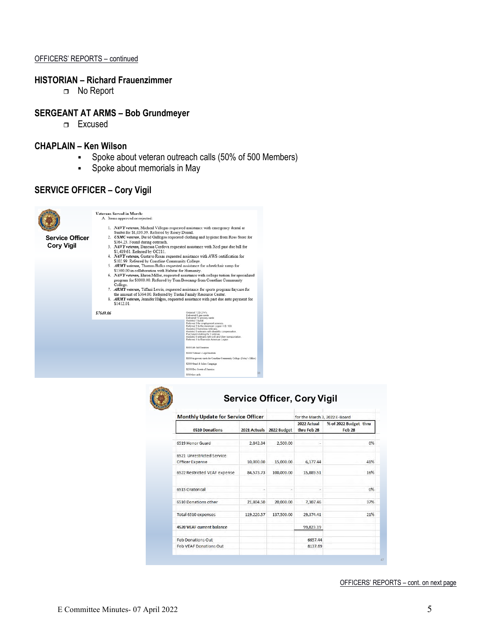#### OFFICERS' REPORTS – continued

#### **HISTORIAN – Richard Frauenzimmer**

□ No Report

#### **SERGEANT AT ARMS – Bob Grundmeyer**

Excused

### **CHAPLAIN – Ken Wilson**

- Spoke about veteran outreach calls (50% of 500 Members)
- Spoke about memorials in May

### **SERVICE OFFICER – Cory Vigil**



**Cory Vigil**

Veterans Served in March:<br>A. Items approved or rejected:

- %1. NAFY veteran, Micheal Villegas requested assistance with emergency dental at Sunbit for \$1,039.39. Referred by Rosey Dental. 2.  $\,$  USMC veteran, David Gallegos requested clothing and hygiene from Ross Store for  $\,$
- 
- 
- 
- 
- 
- 2. USMC veterar, David Gallegos requested clothing and hygiene from Ross Store for S364.23. Found dring outrech.<br>
3. NAFY veterar, Danessa Cordova requested assistance with Xcel past due bill for S1,419.51. Referred by OC
- 
- 
- \$1412.01

\$7649.06

- Ordered 7 DD-214's.<br>Delivered 18 gas cards.<br>Delivered 18 grocory.cords<br>Réferred 3 for employment services.<br>Réferred 1 fo the American Legion H.B. 133.<br>Assisted 2 hormelss vetterans.<br>Assisted 5 veterans with disability comp sted 2 homeless veterans.<br>sted 5 veterans with disability compensation.<br>hased clothing for 1 veteran.<br>sted 4 veterans with Lyft and Uber transporta<br>and 4 to Blazes with Lyft and Uber transporta **S500 Life Aid Donation CSOOD Totacse's Tiggs! Bustines** \$1000 in grocery cards for Coastlin
- **S2000 Stand & Salute Campaign** \$2500 Boy Scouts of America **S500 Gas cards**



## **Service Officer, Cory Vigil**

38

| <b>Monthly Update for Service Officer</b>    |              |             | for the March 3, 2022 E-Board |                                        |  |  |  |
|----------------------------------------------|--------------|-------------|-------------------------------|----------------------------------------|--|--|--|
| <b>6510 Donations</b>                        | 2021 Actuals | 2022 Budget | 2022 Actual<br>thru Feb 28    | % of 2022 Budget thru<br><b>Feb 28</b> |  |  |  |
| 6519 Honor Guard                             | 2,842.34     | 2,500.00    |                               | 0%                                     |  |  |  |
| 6521 Unrestricted Service<br>Officer Expense | 10,000.00    | 15,000.00   | 6.177.44                      | 41%                                    |  |  |  |
| 6522 Restricted VEAF expense                 | 84,573.73    | 100,000.00  | 15,889.51                     | 16%                                    |  |  |  |
| 6515 Oratorical                              |              |             |                               | 0%                                     |  |  |  |
| 6510 Donations other                         | 21,804.50    | 20,000.00   | 7,307.46                      | 37%                                    |  |  |  |
| Total 6510 expenses                          | 119,220.57   | 137,500.00  | 29,374.41                     | 21%                                    |  |  |  |
| <b>4520 VEAF current balance</b>             |              |             | 99,823.19                     |                                        |  |  |  |
| <b>Feb Donations Out</b>                     |              |             | 6657.44                       |                                        |  |  |  |
| Feb VEAF Donations Out                       |              |             | 8137.69                       |                                        |  |  |  |